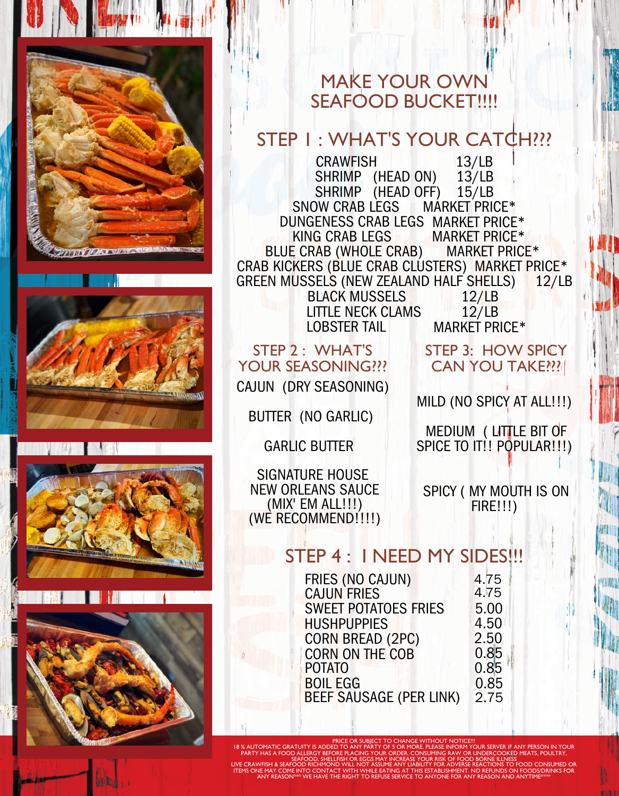







MAKE YOUR OWN SEAFOOD BUCKET!!!!

## STEP I : WHAT'S YOUR CATCH ???

CRAWFISH 13/LB SHRIMP (HEAD ON) 13/LB SHRIMP (HEAD OFF) 15/LB SNOW CRAB LEGS MARKET PRICE\* DUNGENESS CRAB LEGS MARKET PRICE\* KING CRAB LEGS MARKET PRICE\* BLUE CRAB (WHOLE CRAB) MARKET PRICE\* CRAB KICKERS (BLUE CRAB CLÚSTERS) MARKET PRICE\*<br>GREEN MUSSELS (NEW ZEALAND HALF SHELLS) 12/LB GREEN MUSSELS (NEW ZEALAND HALF SHELLS) LITTLE NECK CLAMS BLACK MUSSELS LOBSTER TAIL 12/LB 12/LB MARKET PRICE\*

## STEP 2 : WHAT'S YOUR SEASONING???

CAJUN (DRY SEASONING)

BUTTER (NO GARLIC)

GARLIC BUTTER

SIGNATURE HOUSE NEW ORLEANS SAUCE (MIX' EM ALL!!!) (WE RECOMMEND!!!!) SPICY ( MY MOUTH IS ON FIRE!!!)

## STEP 4: I NEED MY SIDES!!!

| FRIES (NO CAJUN)               | 4.75 |
|--------------------------------|------|
| <b>CAJUN FRIES</b>             | 4.75 |
|                                |      |
| <b>SWEET POTATOES FRIES</b>    | 5.00 |
| <b>HUSHPUPPIES</b>             | 4.50 |
|                                |      |
| <b>CORN BREAD (2PC)</b>        | 2.50 |
|                                |      |
| <b>CORN ON THE COB</b>         | 0.85 |
| <b>POTATO</b>                  | 0.85 |
|                                |      |
| <b>BOIL EGG</b>                | 0.85 |
|                                | 2.75 |
| <b>BEEF SAUSAGE (PER LINK)</b> |      |
|                                |      |

PRICE OR SUBJECT TO CHANGE WITHOUT NOTICE!!! 18 % AUTOMATIC GRATUITY IS ADDED TO ANY PARTY OF 5 OR MORE. PLEASE INFORM YOUR SERVER IF ANY PERSON IN YOUR PARTY HAS A FOOD ALLERGY BEFORE PLACING YOUR ORDER. CONSUMING RAW OR UNDERCOOKED MEATS, POULTRY, SEAFOOD, SHELLFISH OR EGGS MAY INCREASE YOUR RISK OF FOOD BORNE ILLNESS LIVE CRAWFISH & SEAFOOD RICHMOND WILL NOT ASSUME ANY LIABILITY FOR ADVERSE REACTIONS TO FOOD CONSUMED OR ITEMS ONE MAY COME INTO CONTACT WITH WHILE EATING AT THIS ESTABLISHMENT. NO REFUNDS ON FOODS/DRINKS FOR ANY REASON $^{364\%}$  WE HAVE THE RIGHT TO REFUSE SERVICE TO ANYONE FOR ANY REASON AND ANYTIME $^{366\%}$ 

CAN YOU TAKE???

STEP 3: HOW SPICY

MILD (NO SPICY AT ALL!!!)

MEDIUM ( LITTLE BIT OF SPICE TO IT!! POPULAR!!!)